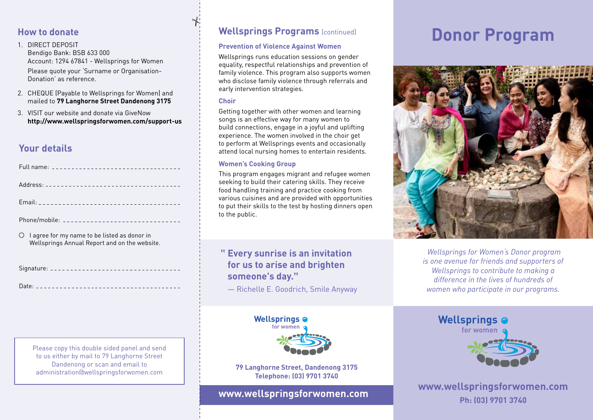## **How to donate**

1. DIRECT DEPOSIT Bendigo Bank: BSB 633 000 Account: 1294 67841 - Wellsprings for Women Please quote your 'Surname or Organisation-Donation' as reference.

- 2. CHEQUE (Payable to Wellsprings for Women) and mailed to **79 Langhorne Street Dandenong 3175**
- 3. VISIT our website and donate via GiveNow **http://www.wellspringsforwomen.com/support-us**

## **Your details**

| Phone/mobile: ________________________________                                                                   |  |
|------------------------------------------------------------------------------------------------------------------|--|
| $\circlearrowright$ lagree for my name to be listed as donor in<br>Wellsprings Annual Report and on the website. |  |

Signature:

Date:

Please copy this double sided panel and send to us either by mail to 79 Langhorne Street Dandenong or scan and email to administration@wellspringsforwomen.com

## **Wellsprings Programs** (continued)

## **Prevention of Violence Against Women**

Wellsprings runs education sessions on gender equality, respectful relationships and prevention of family violence. This program also supports women who disclose family violence through referrals and early intervention strategies.

#### **Choir**

 $\partial f$ 

Getting together with other women and learning songs is an effective way for many women to build connections, engage in a joyful and uplifting experience. The women involved in the choir get to perform at Wellsprings events and occasionally attend local nursing homes to entertain residents.

## **Women's Cooking Group**

This program engages migrant and refugee women seeking to build their catering skills. They receive food handling training and practice cooking from various cuisines and are provided with opportunities to put their skills to the test by hosting dinners open to the public.

## **" Every sunrise is an invitation for us to arise and brighten someone's day."**

― Richelle E. Goodrich, Smile Anyway



**79 Langhorne Street, Dandenong 3175 Telephone: (03) 9701 3740**

## **www.wellspringsforwomen.com**

# **Donor Program**



 *Wellsprings for Women's Donor program is one avenue for friends and supporters of Wellsprings to contribute to making a difference in the lives of hundreds of women who participate in our programs.*



**www.wellspringsforwomen.com Ph: (03) 9701 3740**